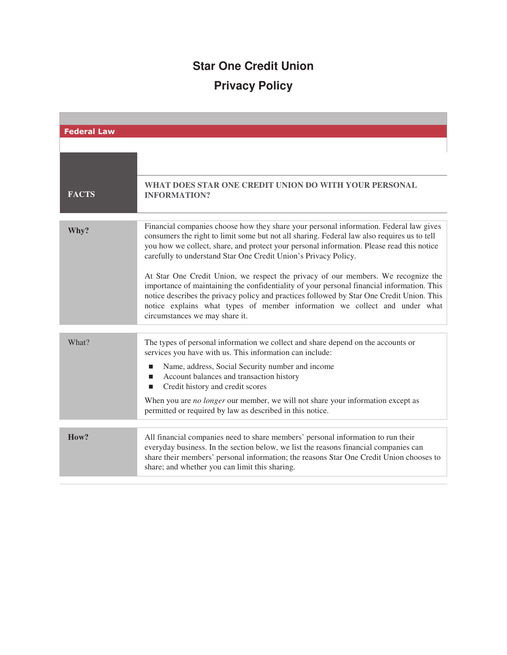## **Star One Credit Union Privacy Policy**

| <b>Federal Law</b> |                                                                                                                                                                                                                                                                                                                                                                                                                                                                                                                                                                                                                                                                                                                                                       |
|--------------------|-------------------------------------------------------------------------------------------------------------------------------------------------------------------------------------------------------------------------------------------------------------------------------------------------------------------------------------------------------------------------------------------------------------------------------------------------------------------------------------------------------------------------------------------------------------------------------------------------------------------------------------------------------------------------------------------------------------------------------------------------------|
|                    |                                                                                                                                                                                                                                                                                                                                                                                                                                                                                                                                                                                                                                                                                                                                                       |
|                    | WHAT DOES STAR ONE CREDIT UNION DO WITH YOUR PERSONAL                                                                                                                                                                                                                                                                                                                                                                                                                                                                                                                                                                                                                                                                                                 |
| <b>FACTS</b>       | <b>INFORMATION?</b>                                                                                                                                                                                                                                                                                                                                                                                                                                                                                                                                                                                                                                                                                                                                   |
| Why?               | Financial companies choose how they share your personal information. Federal law gives<br>consumers the right to limit some but not all sharing. Federal law also requires us to tell<br>you how we collect, share, and protect your personal information. Please read this notice<br>carefully to understand Star One Credit Union's Privacy Policy.<br>At Star One Credit Union, we respect the privacy of our members. We recognize the<br>importance of maintaining the confidentiality of your personal financial information. This<br>notice describes the privacy policy and practices followed by Star One Credit Union. This<br>notice explains what types of member information we collect and under what<br>circumstances we may share it. |
| What?              | The types of personal information we collect and share depend on the accounts or<br>services you have with us. This information can include:<br>Name, address, Social Security number and income<br>■<br>Account balances and transaction history<br>■<br>Credit history and credit scores<br>■<br>When you are no longer our member, we will not share your information except as<br>permitted or required by law as described in this notice.                                                                                                                                                                                                                                                                                                       |
| How?               | All financial companies need to share members' personal information to run their<br>everyday business. In the section below, we list the reasons financial companies can<br>share their members' personal information; the reasons Star One Credit Union chooses to<br>share; and whether you can limit this sharing.                                                                                                                                                                                                                                                                                                                                                                                                                                 |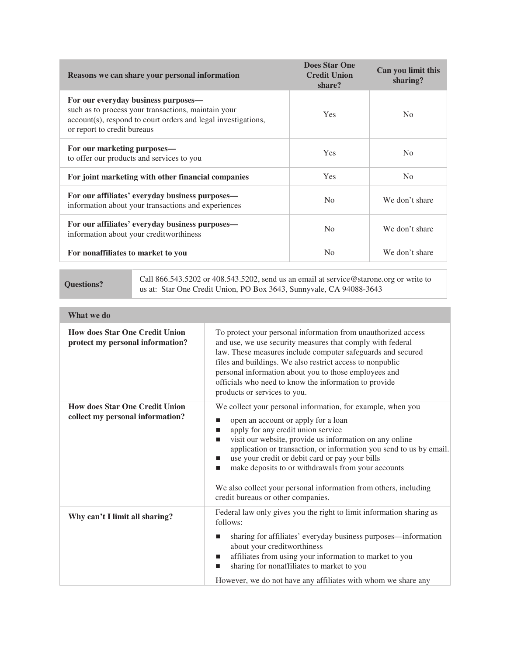| Reasons we can share your personal information                                                                                                                                             | <b>Does Star One</b><br><b>Credit Union</b><br>share? | Can you limit this<br>sharing? |
|--------------------------------------------------------------------------------------------------------------------------------------------------------------------------------------------|-------------------------------------------------------|--------------------------------|
| For our everyday business purposes—<br>such as to process your transactions, maintain your<br>account(s), respond to court orders and legal investigations,<br>or report to credit bureaus | <b>Yes</b>                                            | N <sub>0</sub>                 |
| For our marketing purposes—<br>to offer our products and services to you                                                                                                                   | Yes                                                   | N <sub>0</sub>                 |
| For joint marketing with other financial companies                                                                                                                                         | Yes                                                   | No                             |
| For our affiliates' everyday business purposes—<br>information about your transactions and experiences                                                                                     | N <sub>0</sub>                                        | We don't share                 |
| For our affiliates' everyday business purposes—<br>information about your creditworthiness                                                                                                 | N <sub>0</sub>                                        | We don't share                 |
| For nonaffiliates to market to you                                                                                                                                                         | No                                                    | We don't share                 |

**Questions?** Call 866.543.5202 or 408.543.5202, send us an email at service@starone.org or write to<br>
use the Canadia Union DO Box 2642. Supervuela GA 04088.2642 us at: Star One Credit Union, PO Box 3643, Sunnyvale, CA 94088-3643

| What we do                                                                |                                                                                                                                                                                                                                                                                                                                                                                                                                                                                                              |
|---------------------------------------------------------------------------|--------------------------------------------------------------------------------------------------------------------------------------------------------------------------------------------------------------------------------------------------------------------------------------------------------------------------------------------------------------------------------------------------------------------------------------------------------------------------------------------------------------|
| <b>How does Star One Credit Union</b><br>protect my personal information? | To protect your personal information from unauthorized access<br>and use, we use security measures that comply with federal<br>law. These measures include computer safeguards and secured<br>files and buildings. We also restrict access to nonpublic<br>personal information about you to those employees and<br>officials who need to know the information to provide<br>products or services to you.                                                                                                    |
| <b>How does Star One Credit Union</b><br>collect my personal information? | We collect your personal information, for example, when you<br>open an account or apply for a loan<br>п<br>apply for any credit union service<br>visit our website, provide us information on any online<br>П<br>application or transaction, or information you send to us by email.<br>use your credit or debit card or pay your bills<br>make deposits to or withdrawals from your accounts<br>ш<br>We also collect your personal information from others, including<br>credit bureaus or other companies. |
| Why can't I limit all sharing?                                            | Federal law only gives you the right to limit information sharing as<br>follows:<br>sharing for affiliates' everyday business purposes—information<br>ш<br>about your creditworthiness<br>affiliates from using your information to market to you<br>sharing for nonaffiliates to market to you<br>ш<br>However, we do not have any affiliates with whom we share any                                                                                                                                        |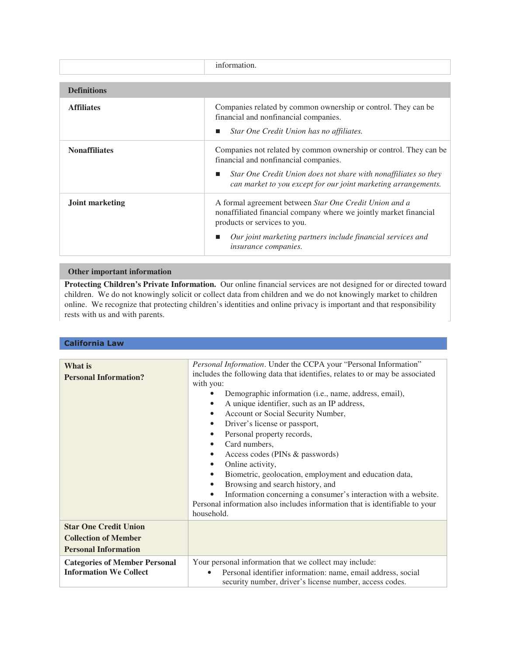|                        | information.                                                                                                                                                                                                                                              |
|------------------------|-----------------------------------------------------------------------------------------------------------------------------------------------------------------------------------------------------------------------------------------------------------|
| <b>Definitions</b>     |                                                                                                                                                                                                                                                           |
| <b>Affiliates</b>      | Companies related by common ownership or control. They can be<br>financial and nonfinancial companies.<br>Star One Credit Union has no affiliates.                                                                                                        |
| <b>Nonaffiliates</b>   | Companies not related by common ownership or control. They can be<br>financial and nonfinancial companies.<br>Star One Credit Union does not share with nonaffiliates so they<br>can market to you except for our joint marketing arrangements.           |
| <b>Joint marketing</b> | A formal agreement between Star One Credit Union and a<br>nonaffiliated financial company where we jointly market financial<br>products or services to you.<br>Our joint marketing partners include financial services and<br><i>insurance companies.</i> |

## **Other important information**

**Protecting Children's Private Information.** Our online financial services are not designed for or directed toward children. We do not knowingly solicit or collect data from children and we do not knowingly market to children online. We recognize that protecting children's identities and online privacy is important and that responsibility rests with us and with parents.

## **California Law**

| What is<br><b>Personal Information?</b>                                                    | Personal Information. Under the CCPA your "Personal Information"<br>includes the following data that identifies, relates to or may be associated<br>with you:<br>Demographic information (i.e., name, address, email),<br>A unique identifier, such as an IP address,<br>٠<br>Account or Social Security Number,<br>٠<br>Driver's license or passport,<br>٠<br>Personal property records,<br>$\bullet$<br>Card numbers,<br>Access codes (PINs & passwords)<br>٠<br>Online activity,<br>٠<br>Biometric, geolocation, employment and education data,<br>$\bullet$<br>Browsing and search history, and<br>$\bullet$<br>Information concerning a consumer's interaction with a website.<br>Personal information also includes information that is identifiable to your<br>household. |
|--------------------------------------------------------------------------------------------|----------------------------------------------------------------------------------------------------------------------------------------------------------------------------------------------------------------------------------------------------------------------------------------------------------------------------------------------------------------------------------------------------------------------------------------------------------------------------------------------------------------------------------------------------------------------------------------------------------------------------------------------------------------------------------------------------------------------------------------------------------------------------------|
| <b>Star One Credit Union</b><br><b>Collection of Member</b><br><b>Personal Information</b> |                                                                                                                                                                                                                                                                                                                                                                                                                                                                                                                                                                                                                                                                                                                                                                                  |
| <b>Categories of Member Personal</b><br><b>Information We Collect</b>                      | Your personal information that we collect may include:<br>Personal identifier information: name, email address, social<br>security number, driver's license number, access codes.                                                                                                                                                                                                                                                                                                                                                                                                                                                                                                                                                                                                |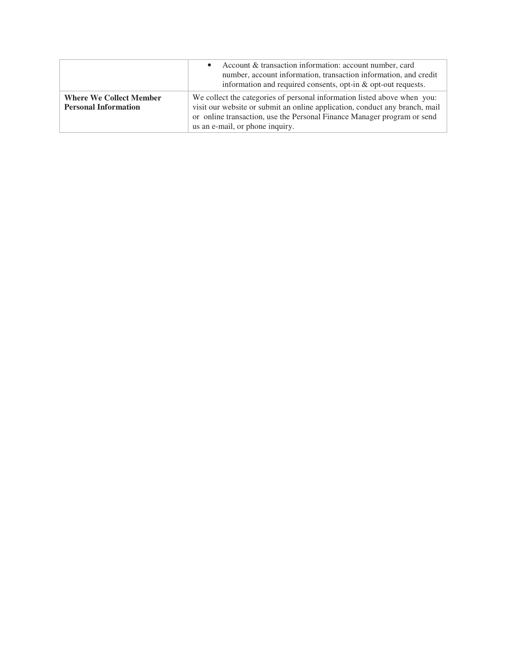|                                                               | Account & transaction information: account number, card<br>number, account information, transaction information, and credit<br>information and required consents, opt-in & opt-out requests.                                                                          |
|---------------------------------------------------------------|-----------------------------------------------------------------------------------------------------------------------------------------------------------------------------------------------------------------------------------------------------------------------|
| <b>Where We Collect Member</b><br><b>Personal Information</b> | We collect the categories of personal information listed above when you:<br>visit our website or submit an online application, conduct any branch, mail<br>or online transaction, use the Personal Finance Manager program or send<br>us an e-mail, or phone inquiry. |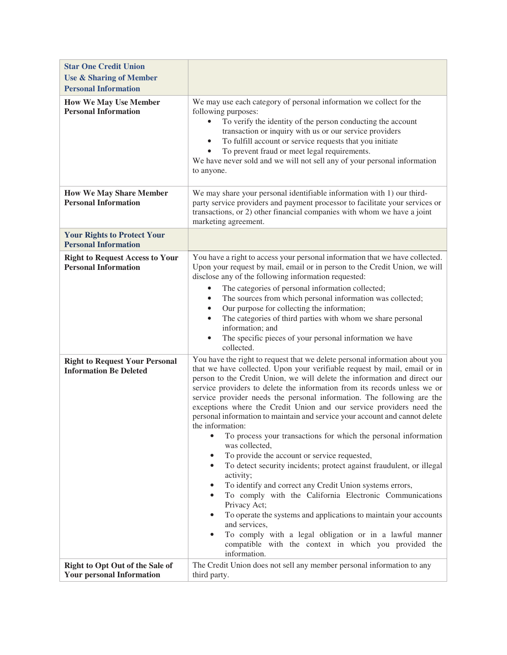| <b>Star One Credit Union</b><br><b>Use &amp; Sharing of Member</b>     |                                                                                                                                                                                                                                                                                                                                                                                                                                                                                                                                                                                                                                                                                                                                                                                                                                                                                                                                                                                                                                                                                                                                                                                                                                  |
|------------------------------------------------------------------------|----------------------------------------------------------------------------------------------------------------------------------------------------------------------------------------------------------------------------------------------------------------------------------------------------------------------------------------------------------------------------------------------------------------------------------------------------------------------------------------------------------------------------------------------------------------------------------------------------------------------------------------------------------------------------------------------------------------------------------------------------------------------------------------------------------------------------------------------------------------------------------------------------------------------------------------------------------------------------------------------------------------------------------------------------------------------------------------------------------------------------------------------------------------------------------------------------------------------------------|
| <b>Personal Information</b>                                            |                                                                                                                                                                                                                                                                                                                                                                                                                                                                                                                                                                                                                                                                                                                                                                                                                                                                                                                                                                                                                                                                                                                                                                                                                                  |
| <b>How We May Use Member</b><br><b>Personal Information</b>            | We may use each category of personal information we collect for the<br>following purposes:<br>To verify the identity of the person conducting the account<br>transaction or inquiry with us or our service providers<br>To fulfill account or service requests that you initiate<br>$\bullet$<br>To prevent fraud or meet legal requirements.<br>We have never sold and we will not sell any of your personal information<br>to anyone.                                                                                                                                                                                                                                                                                                                                                                                                                                                                                                                                                                                                                                                                                                                                                                                          |
| <b>How We May Share Member</b><br><b>Personal Information</b>          | We may share your personal identifiable information with 1) our third-<br>party service providers and payment processor to facilitate your services or<br>transactions, or 2) other financial companies with whom we have a joint<br>marketing agreement.                                                                                                                                                                                                                                                                                                                                                                                                                                                                                                                                                                                                                                                                                                                                                                                                                                                                                                                                                                        |
| <b>Your Rights to Protect Your</b><br><b>Personal Information</b>      |                                                                                                                                                                                                                                                                                                                                                                                                                                                                                                                                                                                                                                                                                                                                                                                                                                                                                                                                                                                                                                                                                                                                                                                                                                  |
| <b>Right to Request Access to Your</b><br><b>Personal Information</b>  | You have a right to access your personal information that we have collected.<br>Upon your request by mail, email or in person to the Credit Union, we will<br>disclose any of the following information requested:<br>The categories of personal information collected;<br>$\bullet$<br>The sources from which personal information was collected;<br>$\bullet$<br>Our purpose for collecting the information;<br>$\bullet$<br>The categories of third parties with whom we share personal<br>$\bullet$<br>information; and<br>The specific pieces of your personal information we have<br>$\bullet$<br>collected.                                                                                                                                                                                                                                                                                                                                                                                                                                                                                                                                                                                                               |
| <b>Right to Request Your Personal</b><br><b>Information Be Deleted</b> | You have the right to request that we delete personal information about you<br>that we have collected. Upon your verifiable request by mail, email or in<br>person to the Credit Union, we will delete the information and direct our<br>service providers to delete the information from its records unless we or<br>service provider needs the personal information. The following are the<br>exceptions where the Credit Union and our service providers need the<br>personal information to maintain and service your account and cannot delete<br>the information:<br>To process your transactions for which the personal information<br>$\bullet$<br>was collected,<br>To provide the account or service requested,<br>٠<br>To detect security incidents; protect against fraudulent, or illegal<br>$\bullet$<br>activity;<br>To identify and correct any Credit Union systems errors,<br>٠<br>To comply with the California Electronic Communications<br>$\bullet$<br>Privacy Act;<br>To operate the systems and applications to maintain your accounts<br>and services,<br>To comply with a legal obligation or in a lawful manner<br>$\bullet$<br>compatible with the context in which you provided the<br>information. |
| Right to Opt Out of the Sale of<br><b>Your personal Information</b>    | The Credit Union does not sell any member personal information to any<br>third party.                                                                                                                                                                                                                                                                                                                                                                                                                                                                                                                                                                                                                                                                                                                                                                                                                                                                                                                                                                                                                                                                                                                                            |